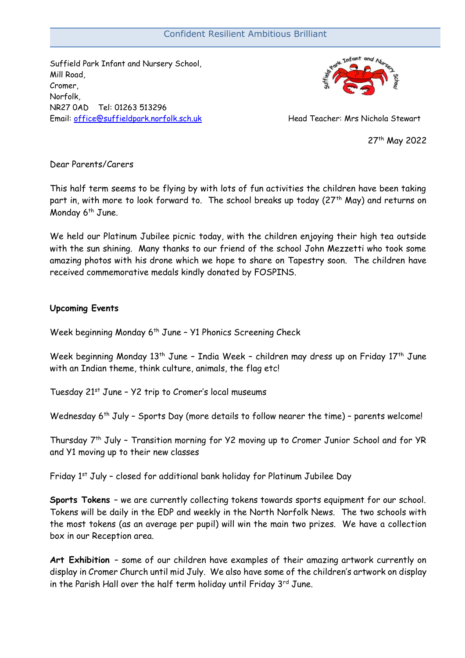## Confident Resilient Ambitious Brilliant

Suffield Park Infant and Nursery School, Mill Road, Cromer, Norfolk, NR27 0AD Tel: 01263 513296 Email: [office@suffieldpark.norfolk.sch.uk](mailto:office@suffieldpark.norfolk.sch.uk) Head Teacher: Mrs Nichola Stewart



27th May 2022

Dear Parents/Carers

This half term seems to be flying by with lots of fun activities the children have been taking part in, with more to look forward to. The school breaks up today (27<sup>th</sup> May) and returns on Monday  $6<sup>th</sup>$  June.

We held our Platinum Jubilee picnic today, with the children enjoying their high tea outside with the sun shining. Many thanks to our friend of the school John Mezzetti who took some amazing photos with his drone which we hope to share on Tapestry soon. The children have received commemorative medals kindly donated by FOSPINS.

## **Upcoming Events**

Week beginning Monday 6<sup>th</sup> June - Y1 Phonics Screening Check

Week beginning Monday 13<sup>th</sup> June - India Week - children may dress up on Friday 17<sup>th</sup> June with an Indian theme, think culture, animals, the flag etc!

Tuesday 21st June – Y2 trip to Cromer's local museums

Wednesday 6<sup>th</sup> July - Sports Day (more details to follow nearer the time) - parents welcome!

Thursday 7th July – Transition morning for Y2 moving up to Cromer Junior School and for YR and Y1 moving up to their new classes

Friday 1st July – closed for additional bank holiday for Platinum Jubilee Day

**Sports Tokens** – we are currently collecting tokens towards sports equipment for our school. Tokens will be daily in the EDP and weekly in the North Norfolk News. The two schools with the most tokens (as an average per pupil) will win the main two prizes. We have a collection box in our Reception area.

**Art Exhibition** – some of our children have examples of their amazing artwork currently on display in Cromer Church until mid July. We also have some of the children's artwork on display in the Parish Hall over the half term holiday until Friday  $3<sup>rd</sup>$  June.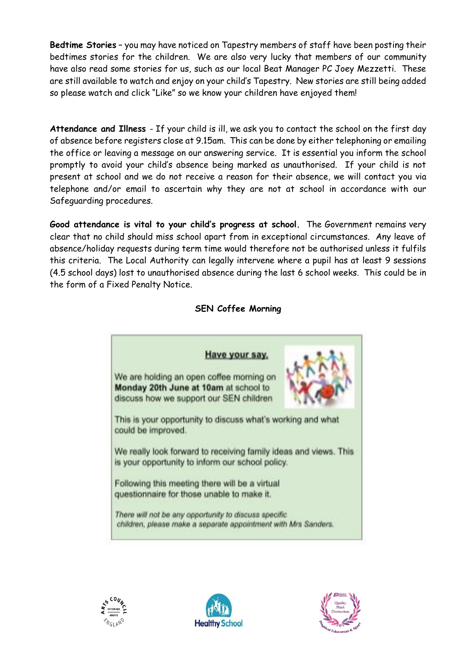**Bedtime Stories** – you may have noticed on Tapestry members of staff have been posting their bedtimes stories for the children. We are also very lucky that members of our community have also read some stories for us, such as our local Beat Manager PC Joey Mezzetti. These are still available to watch and enjoy on your child's Tapestry. New stories are still being added so please watch and click "Like" so we know your children have enjoyed them!

**Attendance and Illness** - If your child is ill, we ask you to contact the school on the first day of absence before registers close at 9.15am. This can be done by either telephoning or emailing the office or leaving a message on our answering service. It is essential you inform the school promptly to avoid your child's absence being marked as unauthorised. If your child is not present at school and we do not receive a reason for their absence, we will contact you via telephone and/or email to ascertain why they are not at school in accordance with our Safeguarding procedures.

**Good attendance is vital to your child's progress at school.** The Government remains very clear that no child should miss school apart from in exceptional circumstances. Any leave of absence/holiday requests during term time would therefore not be authorised unless it fulfils this criteria. The Local Authority can legally intervene where a pupil has at least 9 sessions (4.5 school days) lost to unauthorised absence during the last 6 school weeks. This could be in the form of a Fixed Penalty Notice.

## Have your say. We are holding an open coffee morning on Monday 20th June at 10am at school to discuss how we support our SEN children This is your opportunity to discuss what's working and what could be improved. We really look forward to receiving family ideas and views. This is your opportunity to inform our school policy. Following this meeting there will be a virtual questionnaire for those unable to make it. There will not be any opportunity to discuss specific children, please make a separate appointment with Mrs Sanders.

## **SEN Coffee Morning**